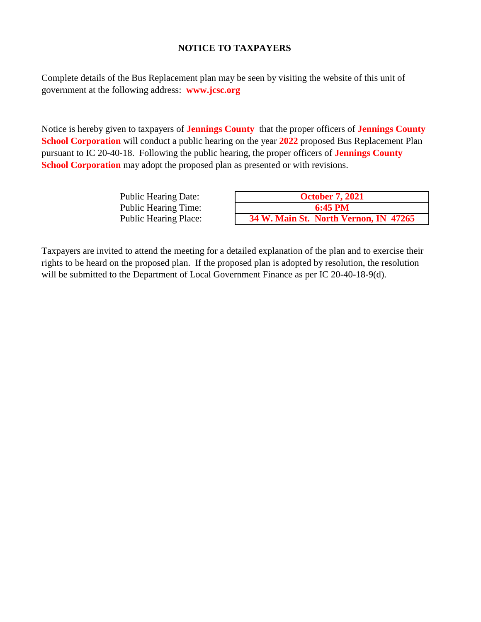## **NOTICE TO TAXPAYERS**

Complete details of the Bus Replacement plan may be seen by visiting the website of this unit of government at the following address: **www.jcsc.org**

Notice is hereby given to taxpayers of **Jennings County** that the proper officers of **Jennings County School Corporation** will conduct a public hearing on the year **2022** proposed Bus Replacement Plan pursuant to IC 20-40-18. Following the public hearing, the proper officers of **Jennings County School Corporation** may adopt the proposed plan as presented or with revisions.

| <b>Public Hearing Date:</b>  | <b>October 7, 2021</b>                |
|------------------------------|---------------------------------------|
| <b>Public Hearing Time:</b>  | $6:45 \text{ PM}$                     |
| <b>Public Hearing Place:</b> | 34 W. Main St. North Vernon, IN 47265 |

Taxpayers are invited to attend the meeting for a detailed explanation of the plan and to exercise their rights to be heard on the proposed plan. If the proposed plan is adopted by resolution, the resolution will be submitted to the Department of Local Government Finance as per IC 20-40-18-9(d).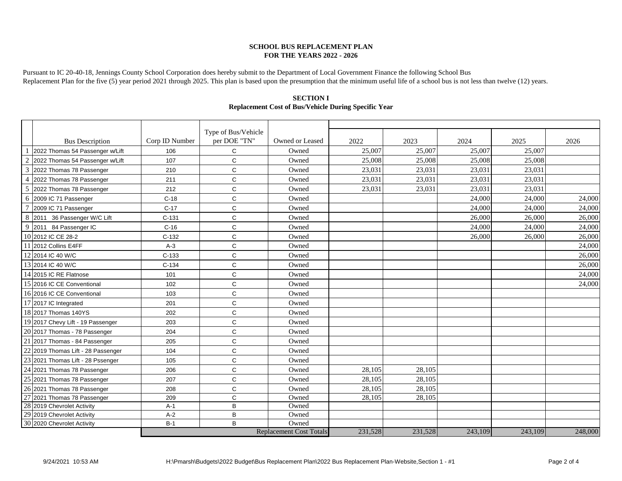#### **SCHOOL BUS REPLACEMENT PLAN FOR THE YEARS 2022 - 2026**

Pursuant to IC 20-40-18, Jennings County School Corporation does hereby submit to the Department of Local Government Finance the following School Bus Replacement Plan for the five (5) year period 2021 through 2025. This plan is based upon the presumption that the minimum useful life of a school bus is not less than twelve (12) years.

### **Replacement Cost of Bus/Vehicle During Specific Year SECTION I**

|                          |                                    |                | Type of Bus/Vehicle | Owned or Leased                |         |         |         |         |         |
|--------------------------|------------------------------------|----------------|---------------------|--------------------------------|---------|---------|---------|---------|---------|
|                          | <b>Bus Description</b>             | Corp ID Number | per DOE "TN"        |                                | 2022    | 2023    | 2024    | 2025    | 2026    |
|                          | 2022 Thomas 54 Passenger w/Lift    | 106            | C                   | Owned                          | 25,007  | 25,007  | 25,007  | 25,007  |         |
| $\overline{c}$           | 2022 Thomas 54 Passenger w/Lift    | 107            | C                   | Owned                          | 25,008  | 25,008  | 25,008  | 25,008  |         |
| 3                        | 2022 Thomas 78 Passenger           | 210            | $\mathsf{C}$        | Owned                          | 23,031  | 23,031  | 23,031  | 23,031  |         |
| $\overline{\mathcal{L}}$ | 2022 Thomas 78 Passenger           | 211            | C                   | Owned                          | 23,031  | 23,031  | 23,031  | 23,031  |         |
| 5                        | 2022 Thomas 78 Passenger           | 212            | C                   | Owned                          | 23,031  | 23,031  | 23,031  | 23,031  |         |
| 6                        | 2009 IC 71 Passenger               | $C-18$         | C                   | Owned                          |         |         | 24,000  | 24,000  | 24,000  |
|                          | 2009 IC 71 Passenger               | $C-17$         | $\mathsf{C}$        | Owned                          |         |         | 24,000  | 24,000  | 24,000  |
| 8                        | 2011 36 Passenger W/C Lift         | $C-131$        | C                   | Owned                          |         |         | 26,000  | 26,000  | 26,000  |
| 9                        | 2011 84 Passenger IC               | $C-16$         | C                   | Owned                          |         |         | 24,000  | 24,000  | 24,000  |
|                          | 10 2012 IC CE 28-2                 | $C-132$        | C                   | Owned                          |         |         | 26,000  | 26,000  | 26,000  |
|                          | 11 2012 Collins E4FF               | $A-3$          | C                   | Owned                          |         |         |         |         | 24,000  |
|                          | 12 2014 IC 40 W/C                  | $C-133$        | $\mathsf C$         | Owned                          |         |         |         |         | 26,000  |
|                          | 13 2014 IC 40 W/C                  | $C-134$        | C                   | Owned                          |         |         |         |         | 26,000  |
|                          | 14 2015 IC RE Flatnose             | 101            | $\mathsf{C}$        | Owned                          |         |         |         |         | 24,000  |
|                          | 15 2016 IC CE Conventional         | 102            | $\mathsf{C}$        | Owned                          |         |         |         |         | 24,000  |
|                          | 16 2016 IC CE Conventional         | 103            | C                   | Owned                          |         |         |         |         |         |
|                          | 17 2017 IC Integrated              | 201            | C                   | Owned                          |         |         |         |         |         |
|                          | 18 2017 Thomas 140YS               | 202            | $\mathsf{C}$        | Owned                          |         |         |         |         |         |
|                          | 19 2017 Chevy Lift - 19 Passenger  | 203            | C                   | Owned                          |         |         |         |         |         |
|                          | 20 2017 Thomas - 78 Passenger      | 204            | $\mathsf{C}$        | Owned                          |         |         |         |         |         |
| 21                       | 2017 Thomas - 84 Passenger         | 205            | C                   | Owned                          |         |         |         |         |         |
|                          | 22 2019 Thomas Lift - 28 Passenger | 104            | C                   | Owned                          |         |         |         |         |         |
|                          | 23 2021 Thomas Lift - 28 Pssenger  | 105            | $\mathsf C$         | Owned                          |         |         |         |         |         |
|                          | 24 2021 Thomas 78 Passenger        | 206            | $\mathsf C$         | Owned                          | 28,105  | 28,105  |         |         |         |
|                          | 25 2021 Thomas 78 Passenger        | 207            | $\mathsf{C}$        | Owned                          | 28,105  | 28,105  |         |         |         |
|                          | 26 2021 Thomas 78 Passenger        | 208            | $\mathsf{C}$        | Owned                          | 28,105  | 28,105  |         |         |         |
| 27                       | 2021 Thomas 78 Passenger           | 209            | C                   | Owned                          | 28,105  | 28,105  |         |         |         |
|                          | 28 2019 Chevrolet Activity         | $A-1$          | B                   | Owned                          |         |         |         |         |         |
|                          | 29 2019 Chevrolet Activity         | $A-2$          | B                   | Owned                          |         |         |         |         |         |
|                          | 30 2020 Chevrolet Activity         | $B-1$          | B                   | Owned                          |         |         |         |         |         |
|                          |                                    |                |                     | <b>Replacement Cost Totals</b> | 231,528 | 231,528 | 243,109 | 243,109 | 248,000 |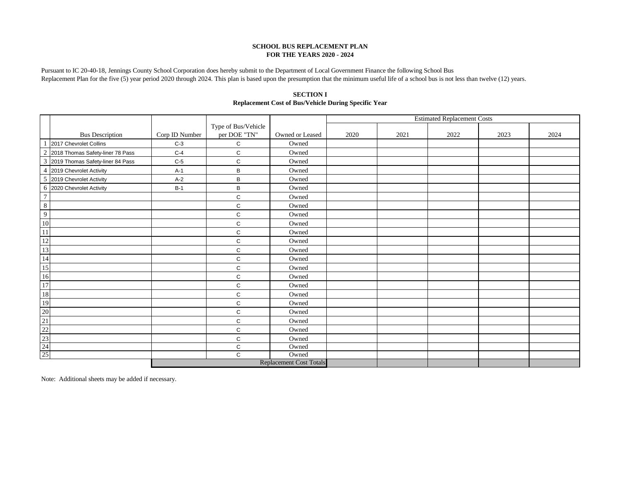#### **SCHOOL BUS REPLACEMENT PLAN FOR THE YEARS 2020 - 2024**

Pursuant to IC 20-40-18, Jennings County School Corporation does hereby submit to the Department of Local Government Finance the following School Bus Replacement Plan for the five (5) year period 2020 through 2024. This plan is based upon the presumption that the minimum useful life of a school bus is not less than twelve (12) years.

|                                                                                                                                               |                                    |                |                     |                 | <b>Estimated Replacement Costs</b> |      |      |      |      |
|-----------------------------------------------------------------------------------------------------------------------------------------------|------------------------------------|----------------|---------------------|-----------------|------------------------------------|------|------|------|------|
|                                                                                                                                               |                                    |                | Type of Bus/Vehicle |                 |                                    |      |      |      |      |
|                                                                                                                                               | <b>Bus Description</b>             | Corp ID Number | per DOE "TN"        | Owned or Leased | 2020                               | 2021 | 2022 | 2023 | 2024 |
|                                                                                                                                               | 2017 Chevrolet Collins             | $C-3$          | C                   | Owned           |                                    |      |      |      |      |
|                                                                                                                                               | 2 2018 Thomas Safety-liner 78 Pass | $C-4$          | $\mathsf C$         | Owned           |                                    |      |      |      |      |
|                                                                                                                                               | 3 2019 Thomas Safety-liner 84 Pass | $C-5$          | C                   | Owned           |                                    |      |      |      |      |
|                                                                                                                                               | 4 2019 Chevrolet Activity          | $A-1$          | В                   | Owned           |                                    |      |      |      |      |
|                                                                                                                                               | 5 2019 Chevrolet Activity          | $A-2$          | B                   | Owned           |                                    |      |      |      |      |
|                                                                                                                                               | 6 2020 Chevrolet Activity          | $B-1$          | B                   | Owned           |                                    |      |      |      |      |
| $7\phantom{.0}$                                                                                                                               |                                    |                | $\mathbf C$         | Owned           |                                    |      |      |      |      |
| $\overline{8}$                                                                                                                                |                                    |                | $\mathbf C$         | Owned           |                                    |      |      |      |      |
| $\overline{9}$                                                                                                                                |                                    |                | C                   | Owned           |                                    |      |      |      |      |
| $\overline{10}$                                                                                                                               |                                    |                | $\mathsf C$         | Owned           |                                    |      |      |      |      |
| $\overline{11}$                                                                                                                               |                                    |                | C                   | Owned           |                                    |      |      |      |      |
|                                                                                                                                               |                                    |                | C                   | Owned           |                                    |      |      |      |      |
|                                                                                                                                               |                                    |                | $\mathsf C$         | Owned           |                                    |      |      |      |      |
|                                                                                                                                               |                                    |                | C                   | Owned           |                                    |      |      |      |      |
|                                                                                                                                               |                                    |                | $\mathbf C$         | Owned           |                                    |      |      |      |      |
|                                                                                                                                               |                                    |                | $\mathbf C$         | Owned           |                                    |      |      |      |      |
|                                                                                                                                               |                                    |                | C                   | Owned           |                                    |      |      |      |      |
|                                                                                                                                               |                                    |                | $\mathsf{C}$        | Owned           |                                    |      |      |      |      |
|                                                                                                                                               |                                    |                | $\mathbf C$         | Owned           |                                    |      |      |      |      |
|                                                                                                                                               |                                    |                | C                   | Owned           |                                    |      |      |      |      |
|                                                                                                                                               |                                    |                | $\mathsf C$         | Owned           |                                    |      |      |      |      |
|                                                                                                                                               |                                    |                | C                   | Owned           |                                    |      |      |      |      |
| $\frac{12}{13} \frac{14}{15} \frac{16}{16} \frac{17}{18} \frac{18}{19} \frac{19}{20} \frac{21}{21} \frac{22}{22} \frac{23}{24} \frac{24}{25}$ |                                    |                | C                   | Owned           |                                    |      |      |      |      |
|                                                                                                                                               |                                    |                | $\mathbf C$         | Owned           |                                    |      |      |      |      |
|                                                                                                                                               |                                    |                | $\mathsf{C}$        | Owned           |                                    |      |      |      |      |
|                                                                                                                                               | <b>Replacement Cost Totals</b>     |                |                     |                 |                                    |      |      |      |      |

**SECTION I Replacement Cost of Bus/Vehicle During Specific Year**

Note: Additional sheets may be added if necessary.